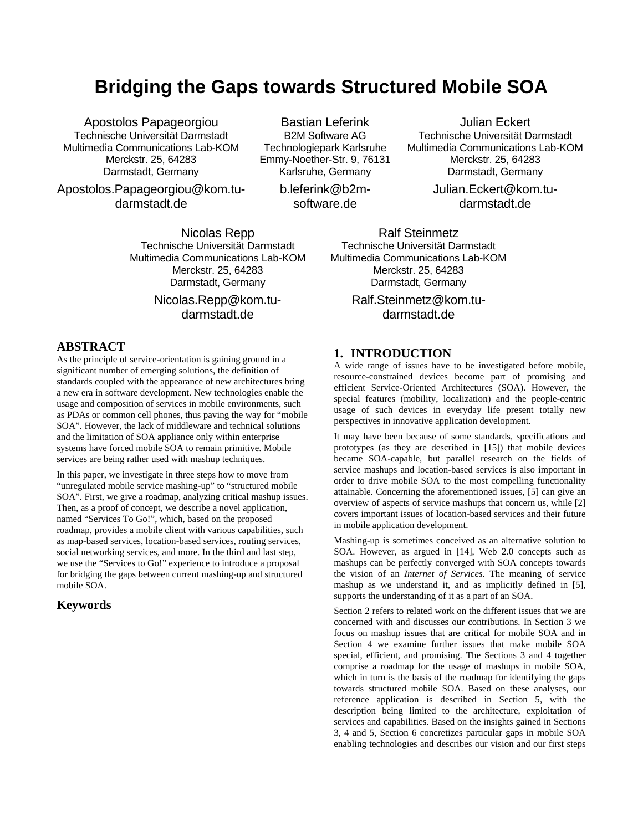# **Bridging the Gaps towards Structured Mobile SOA**

Apostolos Papageorgiou Technische Universität Darmstadt Multimedia Communications Lab-KOM Merckstr. 25, 64283 Darmstadt, Germany

Apostolos.Papageorgiou@kom.tudarmstadt.de

Bastian Leferink B2M Software AG Technologiepark Karlsruhe Emmy-Noether-Str. 9, 76131 Karlsruhe, Germany

> b.leferink@b2msoftware.de

Julian Eckert Technische Universität Darmstadt Multimedia Communications Lab-KOM Merckstr. 25, 64283 Darmstadt, Germany

> Julian.Eckert@kom.tudarmstadt.de

Nicolas Repp Technische Universität Darmstadt Multimedia Communications Lab-KOM Merckstr. 25, 64283 Darmstadt, Germany

> Nicolas.Repp@kom.tudarmstadt.de

Ralf Steinmetz Technische Universität Darmstadt Multimedia Communications Lab-KOM Merckstr. 25, 64283 Darmstadt, Germany

> Ralf.Steinmetz@kom.tudarmstadt.de

# **ABSTRACT**

As the principle of service-orientation is gaining ground in a significant number of emerging solutions, the definition of standards coupled with the appearance of new architectures bring a new era in software development. New technologies enable the usage and composition of services in mobile environments, such as PDAs or common cell phones, thus paving the way for "mobile SOA". However, the lack of middleware and technical solutions and the limitation of SOA appliance only within enterprise systems have forced mobile SOA to remain primitive. Mobile services are being rather used with mashup techniques.

In this paper, we investigate in three steps how to move from "unregulated mobile service mashing-up" to "structured mobile SOA". First, we give a roadmap, analyzing critical mashup issues. Then, as a proof of concept, we describe a novel application, named "Services To Go!", which, based on the proposed roadmap, provides a mobile client with various capabilities, such as map-based services, location-based services, routing services, social networking services, and more. In the third and last step, we use the "Services to Go!" experience to introduce a proposal for bridging the gaps between current mashing-up and structured mobile SOA.

# **Keywords**

# **1. INTRODUCTION**

A wide range of issues have to be investigated before mobile, resource-constrained devices become part of promising and efficient Service-Oriented Architectures (SOA). However, the special features (mobility, localization) and the people-centric usage of such devices in everyday life present totally new perspectives in innovative application development.

It may have been because of some standards, specifications and prototypes (as they are described in [15]) that mobile devices became SOA-capable, but parallel research on the fields of service mashups and location-based services is also important in order to drive mobile SOA to the most compelling functionality attainable. Concerning the aforementioned issues, [5] can give an overview of aspects of service mashups that concern us, while [2] covers important issues of location-based services and their future in mobile application development.

Mashing-up is sometimes conceived as an alternative solution to SOA. However, as argued in [14], Web 2.0 concepts such as mashups can be perfectly converged with SOA concepts towards the vision of an *Internet of Services*. The meaning of service mashup as we understand it, and as implicitly defined in [5], supports the understanding of it as a part of an SOA.

Section 2 refers to related work on the different issues that we are concerned with and discusses our contributions. In Section 3 we focus on mashup issues that are critical for mobile SOA and in Section 4 we examine further issues that make mobile SOA special, efficient, and promising. The Sections 3 and 4 together comprise a roadmap for the usage of mashups in mobile SOA, which in turn is the basis of the roadmap for identifying the gaps towards structured mobile SOA. Based on these analyses, our reference application is described in Section 5, with the description being limited to the architecture, exploitation of services and capabilities. Based on the insights gained in Sections 3, 4 and 5, Section 6 concretizes particular gaps in mobile SOA enabling technologies and describes our vision and our first steps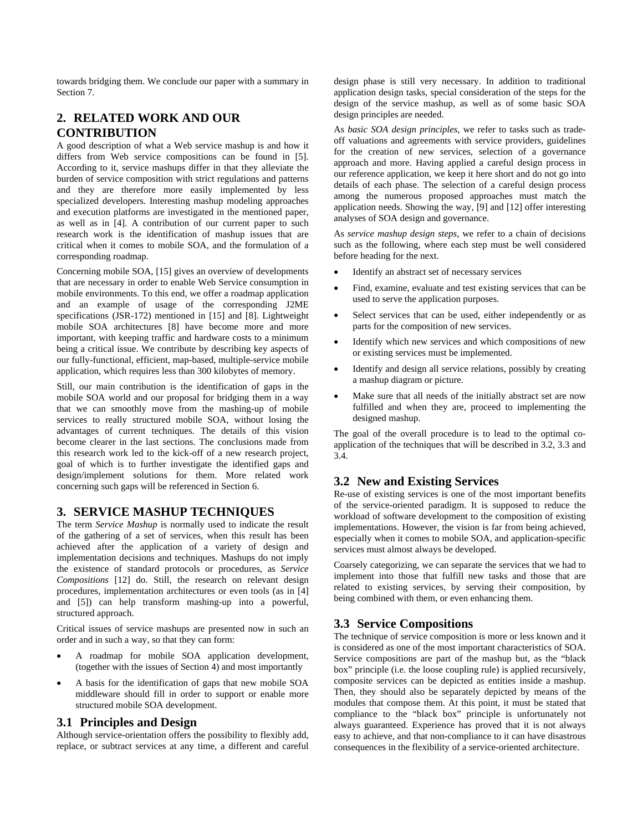towards bridging them. We conclude our paper with a summary in Section 7.

# **2. RELATED WORK AND OUR CONTRIBUTION**

A good description of what a Web service mashup is and how it differs from Web service compositions can be found in [5]. According to it, service mashups differ in that they alleviate the burden of service composition with strict regulations and patterns and they are therefore more easily implemented by less specialized developers. Interesting mashup modeling approaches and execution platforms are investigated in the mentioned paper, as well as in [4]. A contribution of our current paper to such research work is the identification of mashup issues that are critical when it comes to mobile SOA, and the formulation of a corresponding roadmap.

Concerning mobile SOA, [15] gives an overview of developments that are necessary in order to enable Web Service consumption in mobile environments. To this end, we offer a roadmap application and an example of usage of the corresponding J2ME specifications (JSR-172) mentioned in [15] and [8]. Lightweight mobile SOA architectures [8] have become more and more important, with keeping traffic and hardware costs to a minimum being a critical issue. We contribute by describing key aspects of our fully-functional, efficient, map-based, multiple-service mobile application, which requires less than 300 kilobytes of memory.

Still, our main contribution is the identification of gaps in the mobile SOA world and our proposal for bridging them in a way that we can smoothly move from the mashing-up of mobile services to really structured mobile SOA, without losing the advantages of current techniques. The details of this vision become clearer in the last sections. The conclusions made from this research work led to the kick-off of a new research project, goal of which is to further investigate the identified gaps and design/implement solutions for them. More related work concerning such gaps will be referenced in Section 6.

# **3. SERVICE MASHUP TECHNIQUES**

The term *Service Mashup* is normally used to indicate the result of the gathering of a set of services, when this result has been achieved after the application of a variety of design and implementation decisions and techniques. Mashups do not imply the existence of standard protocols or procedures, as *Service Compositions* [12] do. Still, the research on relevant design procedures, implementation architectures or even tools (as in [4] and [5]) can help transform mashing-up into a powerful, structured approach.

Critical issues of service mashups are presented now in such an order and in such a way, so that they can form:

- A roadmap for mobile SOA application development, (together with the issues of Section 4) and most importantly
- A basis for the identification of gaps that new mobile SOA middleware should fill in order to support or enable more structured mobile SOA development.

# **3.1 Principles and Design**

Although service-orientation offers the possibility to flexibly add, replace, or subtract services at any time, a different and careful design phase is still very necessary. In addition to traditional application design tasks, special consideration of the steps for the design of the service mashup, as well as of some basic SOA design principles are needed.

As *basic SOA design principles*, we refer to tasks such as tradeoff valuations and agreements with service providers, guidelines for the creation of new services, selection of a governance approach and more. Having applied a careful design process in our reference application, we keep it here short and do not go into details of each phase. The selection of a careful design process among the numerous proposed approaches must match the application needs. Showing the way, [9] and [12] offer interesting analyses of SOA design and governance.

As *service mashup design steps*, we refer to a chain of decisions such as the following, where each step must be well considered before heading for the next.

- Identify an abstract set of necessary services
- Find, examine, evaluate and test existing services that can be used to serve the application purposes.
- Select services that can be used, either independently or as parts for the composition of new services.
- Identify which new services and which compositions of new or existing services must be implemented.
- Identify and design all service relations, possibly by creating a mashup diagram or picture.
- Make sure that all needs of the initially abstract set are now fulfilled and when they are, proceed to implementing the designed mashup.

The goal of the overall procedure is to lead to the optimal coapplication of the techniques that will be described in 3.2, 3.3 and 3.4.

# **3.2 New and Existing Services**

Re-use of existing services is one of the most important benefits of the service-oriented paradigm. It is supposed to reduce the workload of software development to the composition of existing implementations. However, the vision is far from being achieved, especially when it comes to mobile SOA, and application-specific services must almost always be developed.

Coarsely categorizing, we can separate the services that we had to implement into those that fulfill new tasks and those that are related to existing services, by serving their composition, by being combined with them, or even enhancing them.

# **3.3 Service Compositions**

The technique of service composition is more or less known and it is considered as one of the most important characteristics of SOA. Service compositions are part of the mashup but, as the "black box" principle (i.e. the loose coupling rule) is applied recursively, composite services can be depicted as entities inside a mashup. Then, they should also be separately depicted by means of the modules that compose them. At this point, it must be stated that compliance to the "black box" principle is unfortunately not always guaranteed. Experience has proved that it is not always easy to achieve, and that non-compliance to it can have disastrous consequences in the flexibility of a service-oriented architecture.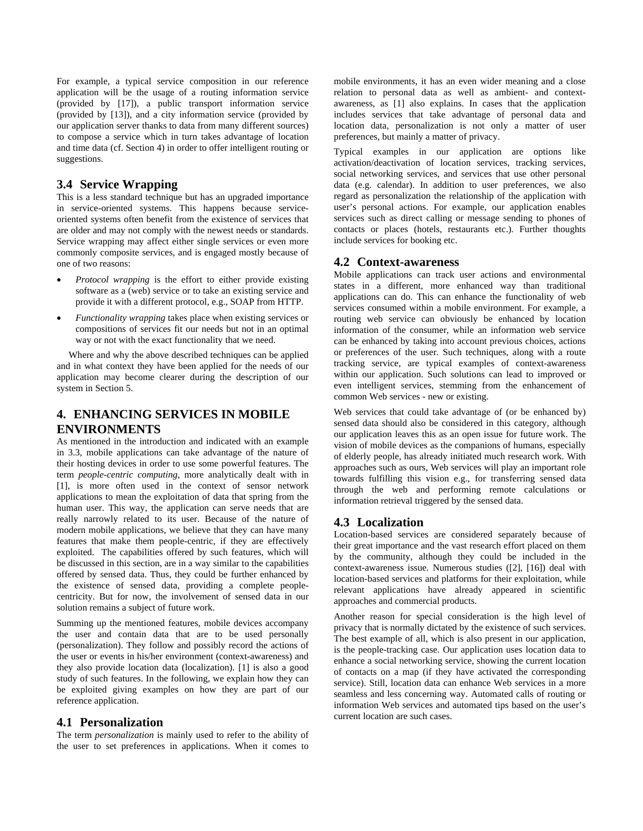For example, a typical service composition in our reference application will be the usage of a routing information service (provided by [17]), a public transport information service (provided by [13]), and a city information service (provided by our application server thanks to data from many different sources) to compose a service which in turn takes advantage of location and time data (cf. Section 4) in order to offer intelligent routing or suggestions.

## **3.4 Service Wrapping**

This is a less standard technique but has an upgraded importance in service-oriented systems. This happens because serviceoriented systems often benefit from the existence of services that are older and may not comply with the newest needs or standards. Service wrapping may affect either single services or even more commonly composite services, and is engaged mostly because of one of two reasons:

- *Protocol wrapping* is the effort to either provide existing software as a (web) service or to take an existing service and provide it with a different protocol, e.g., SOAP from HTTP.
- *Functionality wrapping* takes place when existing services or compositions of services fit our needs but not in an optimal way or not with the exact functionality that we need.

 Where and why the above described techniques can be applied and in what context they have been applied for the needs of our application may become clearer during the description of our system in Section 5.

# **4. ENHANCING SERVICES IN MOBILE ENVIRONMENTS**

As mentioned in the introduction and indicated with an example in 3.3, mobile applications can take advantage of the nature of their hosting devices in order to use some powerful features. The term *people-centric computing*, more analytically dealt with in [1], is more often used in the context of sensor network applications to mean the exploitation of data that spring from the human user. This way, the application can serve needs that are really narrowly related to its user. Because of the nature of modern mobile applications, we believe that they can have many features that make them people-centric, if they are effectively exploited. The capabilities offered by such features, which will be discussed in this section, are in a way similar to the capabilities offered by sensed data. Thus, they could be further enhanced by the existence of sensed data, providing a complete peoplecentricity. But for now, the involvement of sensed data in our solution remains a subject of future work.

Summing up the mentioned features, mobile devices accompany the user and contain data that are to be used personally (personalization). They follow and possibly record the actions of the user or events in his/her environment (context-awareness) and they also provide location data (localization). [1] is also a good study of such features. In the following, we explain how they can be exploited giving examples on how they are part of our reference application.

# **4.1 Personalization**

The term *personalization* is mainly used to refer to the ability of the user to set preferences in applications. When it comes to

mobile environments, it has an even wider meaning and a close relation to personal data as well as ambient- and contextawareness, as [1] also explains. In cases that the application includes services that take advantage of personal data and location data, personalization is not only a matter of user preferences, but mainly a matter of privacy.

Typical examples in our application are options like activation/deactivation of location services, tracking services, social networking services, and services that use other personal data (e.g. calendar). In addition to user preferences, we also regard as personalization the relationship of the application with user's personal actions. For example, our application enables services such as direct calling or message sending to phones of contacts or places (hotels, restaurants etc.). Further thoughts include services for booking etc.

#### **4.2 Context-awareness**

Mobile applications can track user actions and environmental states in a different, more enhanced way than traditional applications can do. This can enhance the functionality of web services consumed within a mobile environment. For example, a routing web service can obviously be enhanced by location information of the consumer, while an information web service can be enhanced by taking into account previous choices, actions or preferences of the user. Such techniques, along with a route tracking service, are typical examples of context-awareness within our application. Such solutions can lead to improved or even intelligent services, stemming from the enhancement of common Web services - new or existing.

Web services that could take advantage of (or be enhanced by) sensed data should also be considered in this category, although our application leaves this as an open issue for future work. The vision of mobile devices as the companions of humans, especially of elderly people, has already initiated much research work. With approaches such as ours, Web services will play an important role towards fulfilling this vision e.g., for transferring sensed data through the web and performing remote calculations or information retrieval triggered by the sensed data.

# **4.3 Localization**

Location-based services are considered separately because of their great importance and the vast research effort placed on them by the community, although they could be included in the context-awareness issue. Numerous studies ([2], [16]) deal with location-based services and platforms for their exploitation, while relevant applications have already appeared in scientific approaches and commercial products.

Another reason for special consideration is the high level of privacy that is normally dictated by the existence of such services. The best example of all, which is also present in our application, is the people-tracking case. Our application uses location data to enhance a social networking service, showing the current location of contacts on a map (if they have activated the corresponding service). Still, location data can enhance Web services in a more seamless and less concerning way. Automated calls of routing or information Web services and automated tips based on the user's current location are such cases.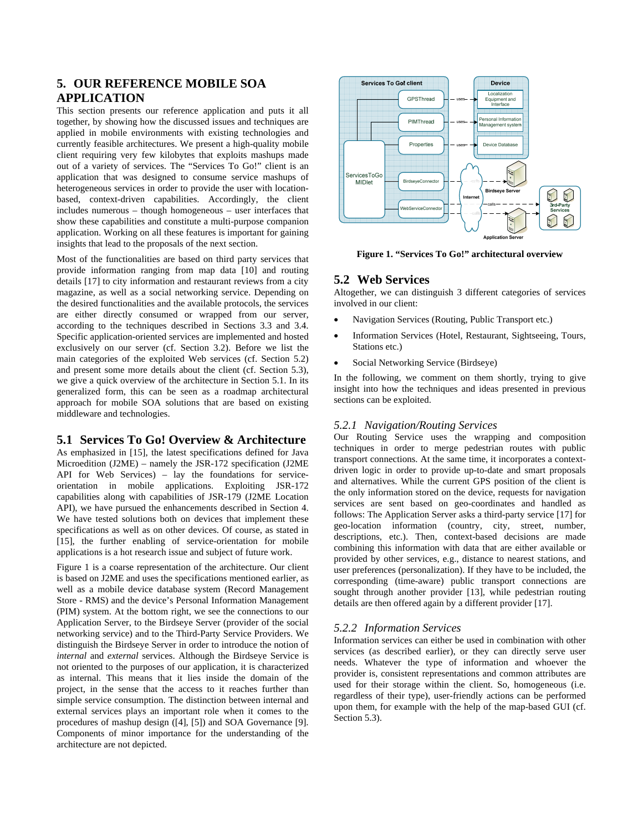# **5. OUR REFERENCE MOBILE SOA APPLICATION**

This section presents our reference application and puts it all together, by showing how the discussed issues and techniques are applied in mobile environments with existing technologies and currently feasible architectures. We present a high-quality mobile client requiring very few kilobytes that exploits mashups made out of a variety of services. The "Services To Go!" client is an application that was designed to consume service mashups of heterogeneous services in order to provide the user with locationbased, context-driven capabilities. Accordingly, the client includes numerous – though homogeneous – user interfaces that show these capabilities and constitute a multi-purpose companion application. Working on all these features is important for gaining insights that lead to the proposals of the next section.

Most of the functionalities are based on third party services that provide information ranging from map data [10] and routing details [17] to city information and restaurant reviews from a city magazine, as well as a social networking service. Depending on the desired functionalities and the available protocols, the services are either directly consumed or wrapped from our server, according to the techniques described in Sections 3.3 and 3.4. Specific application-oriented services are implemented and hosted exclusively on our server (cf. Section 3.2). Before we list the main categories of the exploited Web services (cf. Section 5.2) and present some more details about the client (cf. Section 5.3), we give a quick overview of the architecture in Section 5.1. In its generalized form, this can be seen as a roadmap architectural approach for mobile SOA solutions that are based on existing middleware and technologies.

# **5.1 Services To Go! Overview & Architecture**

As emphasized in [15], the latest specifications defined for Java Microedition (J2ME) – namely the JSR-172 specification (J2ME API for Web Services) – lay the foundations for serviceorientation in mobile applications. Exploiting JSR-172 capabilities along with capabilities of JSR-179 (J2ME Location API), we have pursued the enhancements described in Section 4. We have tested solutions both on devices that implement these specifications as well as on other devices. Of course, as stated in [15], the further enabling of service-orientation for mobile applications is a hot research issue and subject of future work.

Figure 1 is a coarse representation of the architecture. Our client is based on J2ME and uses the specifications mentioned earlier, as well as a mobile device database system (Record Management Store - RMS) and the device's Personal Information Management (PIM) system. At the bottom right, we see the connections to our Application Server, to the Birdseye Server (provider of the social networking service) and to the Third-Party Service Providers. We distinguish the Birdseye Server in order to introduce the notion of *internal* and *external* services. Although the Birdseye Service is not oriented to the purposes of our application, it is characterized as internal. This means that it lies inside the domain of the project, in the sense that the access to it reaches further than simple service consumption. The distinction between internal and external services plays an important role when it comes to the procedures of mashup design ([4], [5]) and SOA Governance [9]. Components of minor importance for the understanding of the architecture are not depicted.



**Figure 1. "Services To Go!" architectural overview** 

## **5.2 Web Services**

Altogether, we can distinguish 3 different categories of services involved in our client:

- Navigation Services (Routing, Public Transport etc.)
- Information Services (Hotel, Restaurant, Sightseeing, Tours, Stations etc.)
- Social Networking Service (Birdseye)

In the following, we comment on them shortly, trying to give insight into how the techniques and ideas presented in previous sections can be exploited.

## *5.2.1 Navigation/Routing Services*

Our Routing Service uses the wrapping and composition techniques in order to merge pedestrian routes with public transport connections. At the same time, it incorporates a contextdriven logic in order to provide up-to-date and smart proposals and alternatives. While the current GPS position of the client is the only information stored on the device, requests for navigation services are sent based on geo-coordinates and handled as follows: The Application Server asks a third-party service [17] for geo-location information (country, city, street, number, descriptions, etc.). Then, context-based decisions are made combining this information with data that are either available or provided by other services, e.g., distance to nearest stations, and user preferences (personalization). If they have to be included, the corresponding (time-aware) public transport connections are sought through another provider [13], while pedestrian routing details are then offered again by a different provider [17].

## *5.2.2 Information Services*

Information services can either be used in combination with other services (as described earlier), or they can directly serve user needs. Whatever the type of information and whoever the provider is, consistent representations and common attributes are used for their storage within the client. So, homogeneous (i.e. regardless of their type), user-friendly actions can be performed upon them, for example with the help of the map-based GUI (cf. Section 5.3).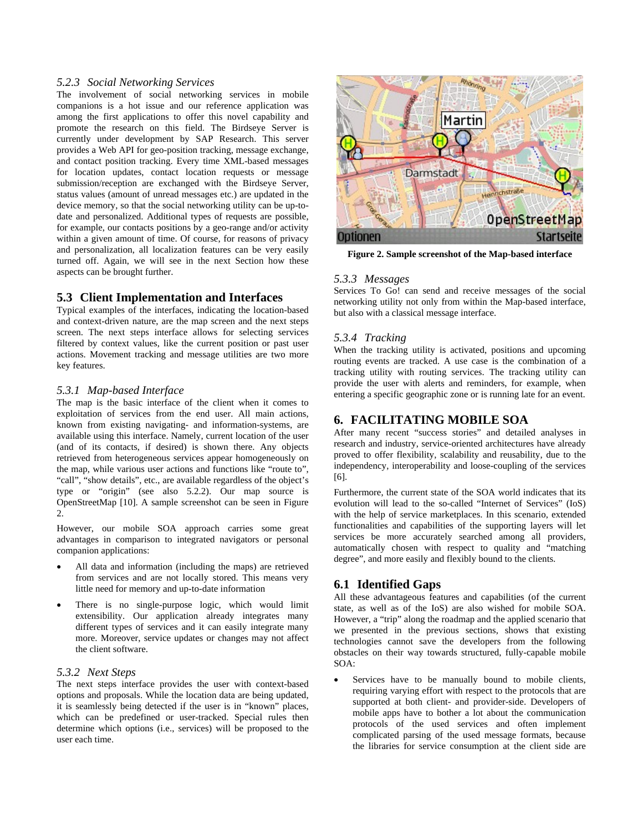#### *5.2.3 Social Networking Services*

The involvement of social networking services in mobile companions is a hot issue and our reference application was among the first applications to offer this novel capability and promote the research on this field. The Birdseye Server is currently under development by SAP Research. This server provides a Web API for geo-position tracking, message exchange, and contact position tracking. Every time XML-based messages for location updates, contact location requests or message submission/reception are exchanged with the Birdseye Server, status values (amount of unread messages etc.) are updated in the device memory, so that the social networking utility can be up-todate and personalized. Additional types of requests are possible, for example, our contacts positions by a geo-range and/or activity within a given amount of time. Of course, for reasons of privacy and personalization, all localization features can be very easily turned off. Again, we will see in the next Section how these aspects can be brought further.

## **5.3 Client Implementation and Interfaces**

Typical examples of the interfaces, indicating the location-based and context-driven nature, are the map screen and the next steps screen. The next steps interface allows for selecting services filtered by context values, like the current position or past user actions. Movement tracking and message utilities are two more key features.

#### *5.3.1 Map-based Interface*

The map is the basic interface of the client when it comes to exploitation of services from the end user. All main actions, known from existing navigating- and information-systems, are available using this interface. Namely, current location of the user (and of its contacts, if desired) is shown there. Any objects retrieved from heterogeneous services appear homogeneously on the map, while various user actions and functions like "route to", "call", "show details", etc., are available regardless of the object's type or "origin" (see also 5.2.2). Our map source is OpenStreetMap [10]. A sample screenshot can be seen in Figure 2.

However, our mobile SOA approach carries some great advantages in comparison to integrated navigators or personal companion applications:

- All data and information (including the maps) are retrieved from services and are not locally stored. This means very little need for memory and up-to-date information
- There is no single-purpose logic, which would limit extensibility. Our application already integrates many different types of services and it can easily integrate many more. Moreover, service updates or changes may not affect the client software.

#### *5.3.2 Next Steps*

The next steps interface provides the user with context-based options and proposals. While the location data are being updated, it is seamlessly being detected if the user is in "known" places, which can be predefined or user-tracked. Special rules then determine which options (i.e., services) will be proposed to the user each time.



**Figure 2. Sample screenshot of the Map-based interface** 

#### *5.3.3 Messages*

Services To Go! can send and receive messages of the social networking utility not only from within the Map-based interface, but also with a classical message interface.

#### *5.3.4 Tracking*

When the tracking utility is activated, positions and upcoming routing events are tracked. A use case is the combination of a tracking utility with routing services. The tracking utility can provide the user with alerts and reminders, for example, when entering a specific geographic zone or is running late for an event.

#### **6. FACILITATING MOBILE SOA**

After many recent "success stories" and detailed analyses in research and industry, service-oriented architectures have already proved to offer flexibility, scalability and reusability, due to the independency, interoperability and loose-coupling of the services [6].

Furthermore, the current state of the SOA world indicates that its evolution will lead to the so-called "Internet of Services" (IoS) with the help of service marketplaces. In this scenario, extended functionalities and capabilities of the supporting layers will let services be more accurately searched among all providers, automatically chosen with respect to quality and "matching degree", and more easily and flexibly bound to the clients.

#### **6.1 Identified Gaps**

All these advantageous features and capabilities (of the current state, as well as of the IoS) are also wished for mobile SOA. However, a "trip" along the roadmap and the applied scenario that we presented in the previous sections, shows that existing technologies cannot save the developers from the following obstacles on their way towards structured, fully-capable mobile SOA:

Services have to be manually bound to mobile clients, requiring varying effort with respect to the protocols that are supported at both client- and provider-side. Developers of mobile apps have to bother a lot about the communication protocols of the used services and often implement complicated parsing of the used message formats, because the libraries for service consumption at the client side are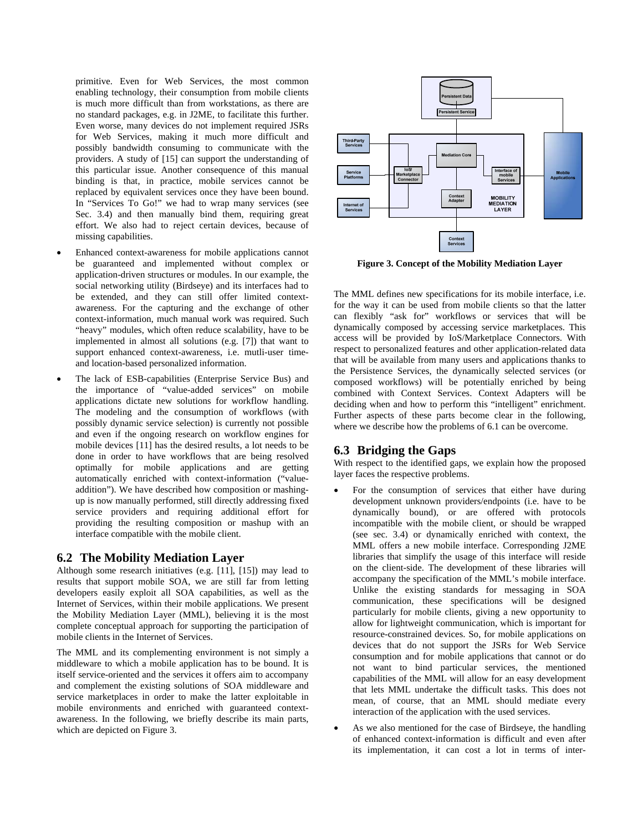primitive. Even for Web Services, the most common enabling technology, their consumption from mobile clients is much more difficult than from workstations, as there are no standard packages, e.g. in J2ME, to facilitate this further. Even worse, many devices do not implement required JSRs for Web Services, making it much more difficult and possibly bandwidth consuming to communicate with the providers. A study of [15] can support the understanding of this particular issue. Another consequence of this manual binding is that, in practice, mobile services cannot be replaced by equivalent services once they have been bound. In "Services To Go!" we had to wrap many services (see Sec. 3.4) and then manually bind them, requiring great effort. We also had to reject certain devices, because of missing capabilities.

- Enhanced context-awareness for mobile applications cannot be guaranteed and implemented without complex or application-driven structures or modules. In our example, the social networking utility (Birdseye) and its interfaces had to be extended, and they can still offer limited contextawareness. For the capturing and the exchange of other context-information, much manual work was required. Such "heavy" modules, which often reduce scalability, have to be implemented in almost all solutions (e.g. [7]) that want to support enhanced context-awareness, i.e. mutli-user timeand location-based personalized information.
- The lack of ESB-capabilities (Enterprise Service Bus) and the importance of "value-added services" on mobile applications dictate new solutions for workflow handling. The modeling and the consumption of workflows (with possibly dynamic service selection) is currently not possible and even if the ongoing research on workflow engines for mobile devices [11] has the desired results, a lot needs to be done in order to have workflows that are being resolved optimally for mobile applications and are getting automatically enriched with context-information ("valueaddition"). We have described how composition or mashingup is now manually performed, still directly addressing fixed service providers and requiring additional effort for providing the resulting composition or mashup with an interface compatible with the mobile client.

## **6.2 The Mobility Mediation Layer**

Although some research initiatives (e.g. [11], [15]) may lead to results that support mobile SOA, we are still far from letting developers easily exploit all SOA capabilities, as well as the Internet of Services, within their mobile applications. We present the Mobility Mediation Layer (MML), believing it is the most complete conceptual approach for supporting the participation of mobile clients in the Internet of Services.

The MML and its complementing environment is not simply a middleware to which a mobile application has to be bound. It is itself service-oriented and the services it offers aim to accompany and complement the existing solutions of SOA middleware and service marketplaces in order to make the latter exploitable in mobile environments and enriched with guaranteed contextawareness. In the following, we briefly describe its main parts, which are depicted on Figure 3.



**Figure 3. Concept of the Mobility Mediation Layer** 

The MML defines new specifications for its mobile interface, i.e. for the way it can be used from mobile clients so that the latter can flexibly "ask for" workflows or services that will be dynamically composed by accessing service marketplaces. This access will be provided by IoS/Marketplace Connectors. With respect to personalized features and other application-related data that will be available from many users and applications thanks to the Persistence Services, the dynamically selected services (or composed workflows) will be potentially enriched by being combined with Context Services. Context Adapters will be deciding when and how to perform this "intelligent" enrichment. Further aspects of these parts become clear in the following, where we describe how the problems of 6.1 can be overcome.

# **6.3 Bridging the Gaps**

With respect to the identified gaps, we explain how the proposed layer faces the respective problems.

- For the consumption of services that either have during development unknown providers/endpoints (i.e. have to be dynamically bound), or are offered with protocols incompatible with the mobile client, or should be wrapped (see sec. 3.4) or dynamically enriched with context, the MML offers a new mobile interface. Corresponding J2ME libraries that simplify the usage of this interface will reside on the client-side. The development of these libraries will accompany the specification of the MML's mobile interface. Unlike the existing standards for messaging in SOA communication, these specifications will be designed particularly for mobile clients, giving a new opportunity to allow for lightweight communication, which is important for resource-constrained devices. So, for mobile applications on devices that do not support the JSRs for Web Service consumption and for mobile applications that cannot or do not want to bind particular services, the mentioned capabilities of the MML will allow for an easy development that lets MML undertake the difficult tasks. This does not mean, of course, that an MML should mediate every interaction of the application with the used services.
- As we also mentioned for the case of Birdseye, the handling of enhanced context-information is difficult and even after its implementation, it can cost a lot in terms of inter-